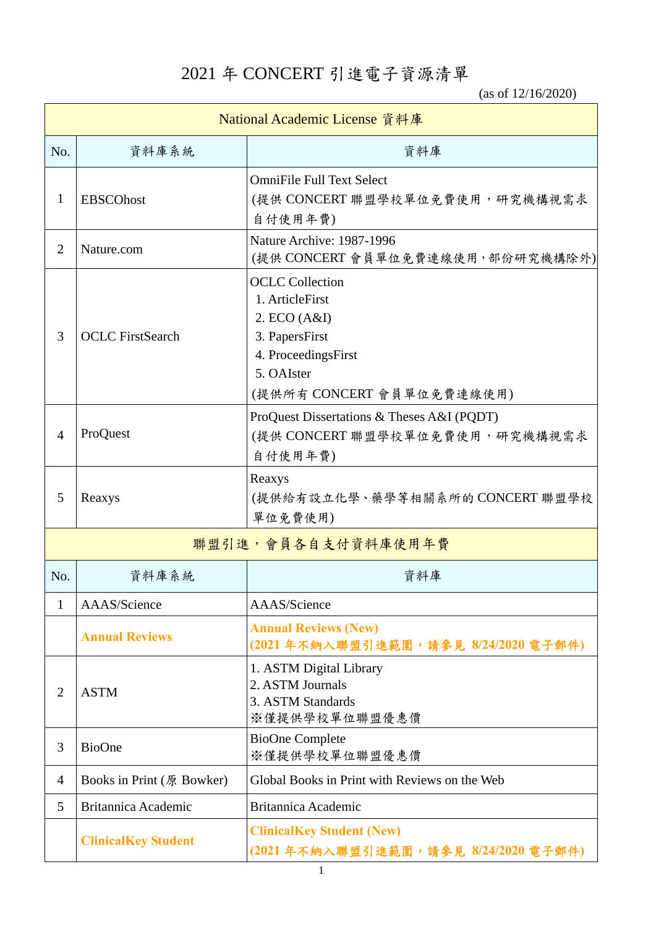2021 年 CONCERT 引進電子資源清單

(as of 12/16/2020)

| National Academic License 資料庫 |                            |                                                                                                                                               |
|-------------------------------|----------------------------|-----------------------------------------------------------------------------------------------------------------------------------------------|
| No.                           | 資料庫系統                      | 資料庫                                                                                                                                           |
| 1                             | <b>EBSCOhost</b>           | <b>OmniFile Full Text Select</b><br>(提供 CONCERT 聯盟學校單位免費使用,研究機構視需求<br>自付使用年費)                                                                 |
| $\overline{2}$                | Nature.com                 | Nature Archive: 1987-1996<br>(提供 CONCERT 會員單位免費連線使用,部份研究機構除外)                                                                                 |
| 3                             | <b>OCLC</b> FirstSearch    | <b>OCLC</b> Collection<br>1. ArticleFirst<br>2. ECO (A&I)<br>3. PapersFirst<br>4. ProceedingsFirst<br>5. OAIster<br>(提供所有 CONCERT 會員單位免費連線使用) |
| $\overline{4}$                | ProQuest                   | ProQuest Dissertations & Theses A&I (PQDT)<br>(提供 CONCERT 聯盟學校單位免費使用, 研究機構視需求<br>自付使用年費)                                                      |
| 5                             | Reaxys                     | Reaxys<br>(提供給有設立化學、藥學等相關系所的CONCERT 聯盟學校<br>單位免費使用)                                                                                           |
|                               |                            | 聯盟引進,會員各自支付資料庫使用年費                                                                                                                            |
| No.                           | 資料庫系統                      | 資料庫                                                                                                                                           |
| 1                             | AAAS/Science               | AAAS/Science                                                                                                                                  |
|                               | <b>Annual Reviews</b>      | <b>Annual Reviews (New)</b><br>(2021年不納入聯盟引進範圍,請參見 8/24/2020 電子郵件)                                                                            |
| $\overline{2}$                | <b>ASTM</b>                | 1. ASTM Digital Library<br>2. ASTM Journals<br>3. ASTM Standards<br>※僅提供學校單位聯盟優惠價                                                             |
| 3                             | <b>BioOne</b>              | <b>BioOne Complete</b><br>※僅提供學校單位聯盟優惠價                                                                                                       |
| $\overline{4}$                | Books in Print (原 Bowker)  | Global Books in Print with Reviews on the Web                                                                                                 |
| 5                             | <b>Britannica Academic</b> | Britannica Academic                                                                                                                           |
|                               | <b>ClinicalKey Student</b> | <b>ClinicalKey Student (New)</b><br>(2021年不納入聯盟引進範圍,請參見 8/24/2020 電子郵件)                                                                       |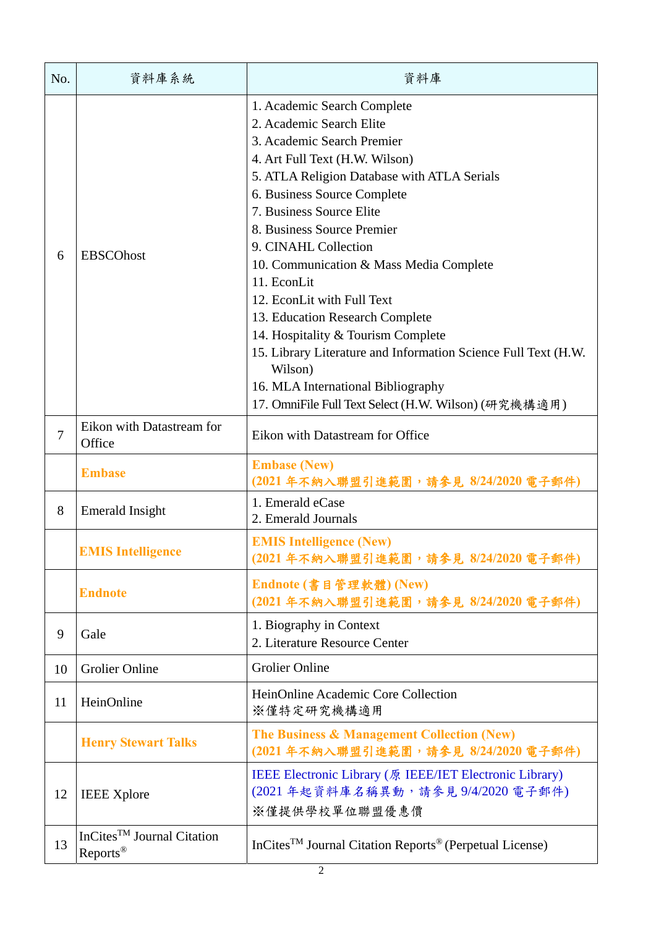| No.            | 資料庫系統                                                    | 資料庫                                                                                                                                                                                                                                                                                                                                                                                                                                                                                                                                                                                                                                 |
|----------------|----------------------------------------------------------|-------------------------------------------------------------------------------------------------------------------------------------------------------------------------------------------------------------------------------------------------------------------------------------------------------------------------------------------------------------------------------------------------------------------------------------------------------------------------------------------------------------------------------------------------------------------------------------------------------------------------------------|
| 6              | <b>EBSCOhost</b>                                         | 1. Academic Search Complete<br>2. Academic Search Elite<br>3. Academic Search Premier<br>4. Art Full Text (H.W. Wilson)<br>5. ATLA Religion Database with ATLA Serials<br>6. Business Source Complete<br>7. Business Source Elite<br>8. Business Source Premier<br>9. CINAHL Collection<br>10. Communication & Mass Media Complete<br>11. EconLit<br>12. EconLit with Full Text<br>13. Education Research Complete<br>14. Hospitality & Tourism Complete<br>15. Library Literature and Information Science Full Text (H.W.<br>Wilson)<br>16. MLA International Bibliography<br>17. OmniFile Full Text Select (H.W. Wilson) (研究機構適用) |
| $\overline{7}$ | Eikon with Datastream for<br>Office                      | Eikon with Datastream for Office                                                                                                                                                                                                                                                                                                                                                                                                                                                                                                                                                                                                    |
|                | <b>Embase</b>                                            | <b>Embase (New)</b><br>(2021年不納入聯盟引進範圍,請參見 8/24/2020 電子郵件)                                                                                                                                                                                                                                                                                                                                                                                                                                                                                                                                                                          |
| 8              | <b>Emerald Insight</b>                                   | 1. Emerald eCase<br>2. Emerald Journals                                                                                                                                                                                                                                                                                                                                                                                                                                                                                                                                                                                             |
|                | <b>EMIS Intelligence</b>                                 | <b>EMIS Intelligence (New)</b><br>(2021年不納入聯盟引進範圍,請參見 8/24/2020 電子郵件)                                                                                                                                                                                                                                                                                                                                                                                                                                                                                                                                                               |
|                | <b>Endnote</b>                                           | Endnote (書目管理軟體) (New)<br>(2021年不納入聯盟引進範圍,請參見 8/24/2020 電子郵件)                                                                                                                                                                                                                                                                                                                                                                                                                                                                                                                                                                       |
| 9              | Gale                                                     | 1. Biography in Context<br>2. Literature Resource Center                                                                                                                                                                                                                                                                                                                                                                                                                                                                                                                                                                            |
| 10             | <b>Grolier Online</b>                                    | <b>Grolier Online</b>                                                                                                                                                                                                                                                                                                                                                                                                                                                                                                                                                                                                               |
| 11             | HeinOnline                                               | HeinOnline Academic Core Collection<br>※僅特定研究機構適用                                                                                                                                                                                                                                                                                                                                                                                                                                                                                                                                                                                   |
|                | <b>Henry Stewart Talks</b>                               | The Business & Management Collection (New)<br>(2021年不納入聯盟引進範圍,請參見 8/24/2020 電子郵件)                                                                                                                                                                                                                                                                                                                                                                                                                                                                                                                                                   |
| 12             | <b>IEEE Xplore</b>                                       | IEEE Electronic Library (原 IEEE/IET Electronic Library)<br>(2021年起資料庫名稱異動,請參見9/4/2020電子郵件)<br>※僅提供學校單位聯盟優惠價                                                                                                                                                                                                                                                                                                                                                                                                                                                                                                                         |
| 13             | In $Cites^{TM}$ Journal Citation<br>Reports <sup>®</sup> | InCites <sup>TM</sup> Journal Citation Reports <sup>®</sup> (Perpetual License)                                                                                                                                                                                                                                                                                                                                                                                                                                                                                                                                                     |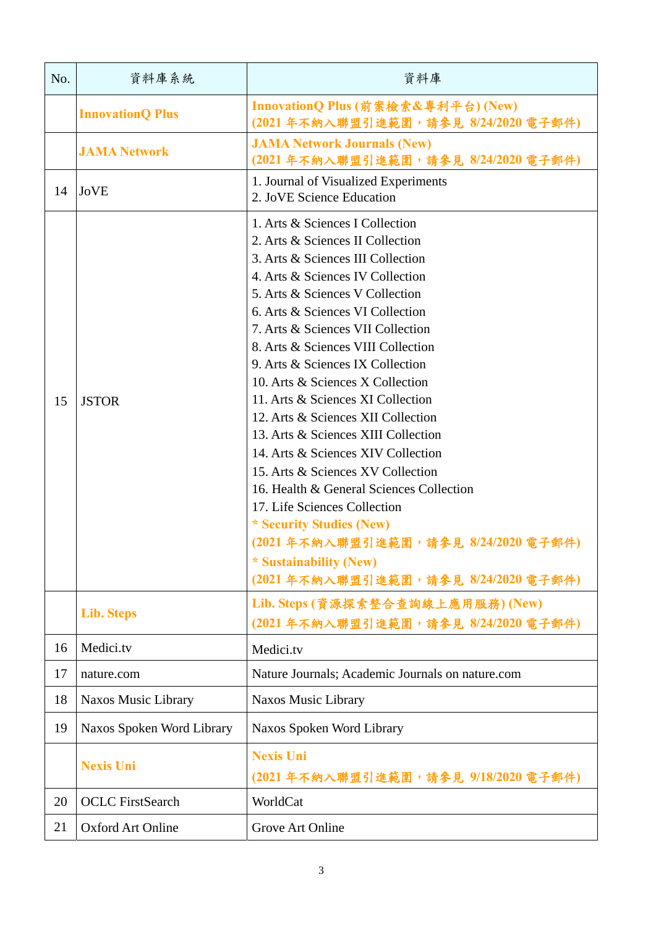| No. | 資料庫系統                     | 資料庫                                                                                                                                                                                                                                                                                                                                                                                                                                                                                                                                                                                                                                                                                                                                                                                 |
|-----|---------------------------|-------------------------------------------------------------------------------------------------------------------------------------------------------------------------------------------------------------------------------------------------------------------------------------------------------------------------------------------------------------------------------------------------------------------------------------------------------------------------------------------------------------------------------------------------------------------------------------------------------------------------------------------------------------------------------------------------------------------------------------------------------------------------------------|
|     | <b>InnovationQ Plus</b>   | InnovationQ Plus (前案檢索&專利平台) (New)<br>(2021年不納入聯盟引進範圍,請參見 8/24/2020 電子郵件)                                                                                                                                                                                                                                                                                                                                                                                                                                                                                                                                                                                                                                                                                                           |
|     | <b>JAMA Network</b>       | <b>JAMA Network Journals (New)</b><br>(2021年不納入聯盟引進範圍,請參見 8/24/2020 電子郵件)                                                                                                                                                                                                                                                                                                                                                                                                                                                                                                                                                                                                                                                                                                           |
| 14  | JoVE                      | 1. Journal of Visualized Experiments<br>2. JoVE Science Education                                                                                                                                                                                                                                                                                                                                                                                                                                                                                                                                                                                                                                                                                                                   |
| 15  | <b>JSTOR</b>              | 1. Arts & Sciences I Collection<br>2. Arts & Sciences II Collection<br>3. Arts & Sciences III Collection<br>4. Arts & Sciences IV Collection<br>5. Arts & Sciences V Collection<br>6. Arts & Sciences VI Collection<br>7. Arts & Sciences VII Collection<br>8. Arts & Sciences VIII Collection<br>9. Arts & Sciences IX Collection<br>10. Arts & Sciences X Collection<br>11. Arts & Sciences XI Collection<br>12. Arts & Sciences XII Collection<br>13. Arts & Sciences XIII Collection<br>14. Arts & Sciences XIV Collection<br>15. Arts & Sciences XV Collection<br>16. Health & General Sciences Collection<br>17. Life Sciences Collection<br>* Security Studies (New)<br>(2021年不納入聯盟引進範圍,請參見 8/24/2020 電子郵件)<br>* Sustainability (New)<br>(2021年不納入聯盟引進範圍,請參見 8/24/2020 電子郵件) |
|     | <b>Lib. Steps</b>         | Lib. Steps (資源探索整合查詢線上應用服務) (New)<br>(2021年不納入聯盟引進範圍,請參見 8/24/2020 電子郵件)                                                                                                                                                                                                                                                                                                                                                                                                                                                                                                                                                                                                                                                                                                            |
| 16  | Medici.tv                 | Medici.tv                                                                                                                                                                                                                                                                                                                                                                                                                                                                                                                                                                                                                                                                                                                                                                           |
| 17  | nature.com                | Nature Journals; Academic Journals on nature.com                                                                                                                                                                                                                                                                                                                                                                                                                                                                                                                                                                                                                                                                                                                                    |
| 18  | Naxos Music Library       | Naxos Music Library                                                                                                                                                                                                                                                                                                                                                                                                                                                                                                                                                                                                                                                                                                                                                                 |
| 19  | Naxos Spoken Word Library | Naxos Spoken Word Library                                                                                                                                                                                                                                                                                                                                                                                                                                                                                                                                                                                                                                                                                                                                                           |
|     | <b>Nexis Uni</b>          | <b>Nexis Uni</b><br>(2021年不納入聯盟引進範圍,請參見 9/18/2020 電子郵件)                                                                                                                                                                                                                                                                                                                                                                                                                                                                                                                                                                                                                                                                                                                             |
| 20  | <b>OCLC</b> FirstSearch   | WorldCat                                                                                                                                                                                                                                                                                                                                                                                                                                                                                                                                                                                                                                                                                                                                                                            |
| 21  | <b>Oxford Art Online</b>  | Grove Art Online                                                                                                                                                                                                                                                                                                                                                                                                                                                                                                                                                                                                                                                                                                                                                                    |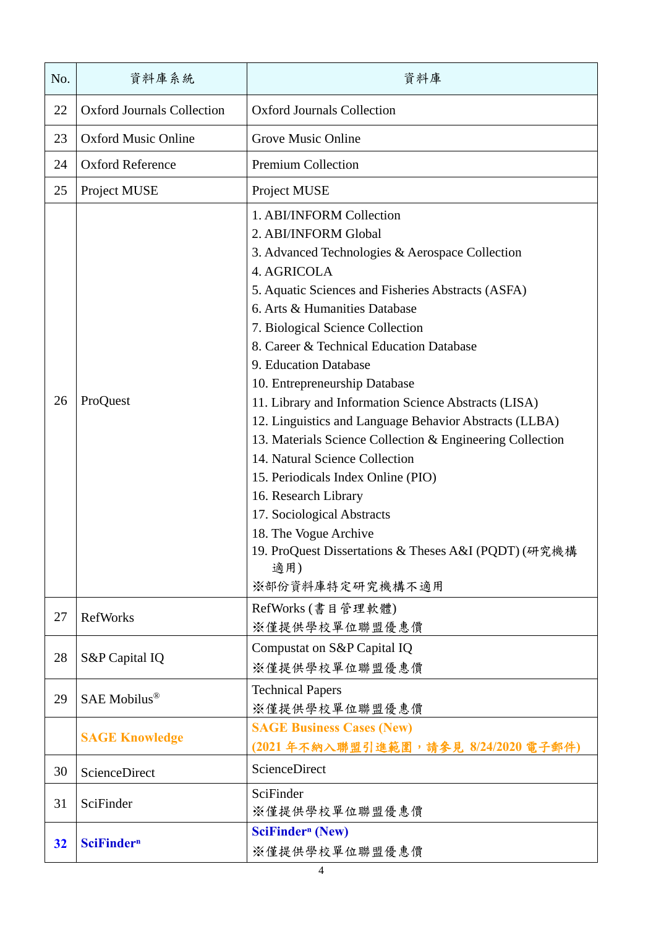| No. | 資料庫系統                             | 資料庫                                                                                                                                                                                                                                                                                                                                                                                                                                                                                                                                                                                                                                                                                                                                                                         |
|-----|-----------------------------------|-----------------------------------------------------------------------------------------------------------------------------------------------------------------------------------------------------------------------------------------------------------------------------------------------------------------------------------------------------------------------------------------------------------------------------------------------------------------------------------------------------------------------------------------------------------------------------------------------------------------------------------------------------------------------------------------------------------------------------------------------------------------------------|
| 22  | <b>Oxford Journals Collection</b> | <b>Oxford Journals Collection</b>                                                                                                                                                                                                                                                                                                                                                                                                                                                                                                                                                                                                                                                                                                                                           |
| 23  | <b>Oxford Music Online</b>        | Grove Music Online                                                                                                                                                                                                                                                                                                                                                                                                                                                                                                                                                                                                                                                                                                                                                          |
| 24  | <b>Oxford Reference</b>           | <b>Premium Collection</b>                                                                                                                                                                                                                                                                                                                                                                                                                                                                                                                                                                                                                                                                                                                                                   |
| 25  | Project MUSE                      | Project MUSE                                                                                                                                                                                                                                                                                                                                                                                                                                                                                                                                                                                                                                                                                                                                                                |
| 26  | ProQuest                          | 1. ABI/INFORM Collection<br>2. ABI/INFORM Global<br>3. Advanced Technologies & Aerospace Collection<br>4. AGRICOLA<br>5. Aquatic Sciences and Fisheries Abstracts (ASFA)<br>6. Arts & Humanities Database<br>7. Biological Science Collection<br>8. Career & Technical Education Database<br>9. Education Database<br>10. Entrepreneurship Database<br>11. Library and Information Science Abstracts (LISA)<br>12. Linguistics and Language Behavior Abstracts (LLBA)<br>13. Materials Science Collection & Engineering Collection<br>14. Natural Science Collection<br>15. Periodicals Index Online (PIO)<br>16. Research Library<br>17. Sociological Abstracts<br>18. The Vogue Archive<br>19. ProQuest Dissertations & Theses A&I (PQDT) (研究機構<br>適用)<br>※部份資料庫特定研究機構不適用 |
| 27  | <b>RefWorks</b>                   | RefWorks (書目管理軟體)<br>※僅提供學校單位聯盟優惠價                                                                                                                                                                                                                                                                                                                                                                                                                                                                                                                                                                                                                                                                                                                                          |
| 28  | S&P Capital IQ                    | Compustat on S&P Capital IQ<br>※僅提供學校單位聯盟優惠價                                                                                                                                                                                                                                                                                                                                                                                                                                                                                                                                                                                                                                                                                                                                |
| 29  | SAE Mobilus <sup>®</sup>          | <b>Technical Papers</b><br>※僅提供學校單位聯盟優惠價                                                                                                                                                                                                                                                                                                                                                                                                                                                                                                                                                                                                                                                                                                                                    |
|     | <b>SAGE Knowledge</b>             | <b>SAGE Business Cases (New)</b><br>(2021年不納入聯盟引進範圍,請參見 8/24/2020 電子郵件)                                                                                                                                                                                                                                                                                                                                                                                                                                                                                                                                                                                                                                                                                                     |
| 30  | ScienceDirect                     | ScienceDirect                                                                                                                                                                                                                                                                                                                                                                                                                                                                                                                                                                                                                                                                                                                                                               |
| 31  | SciFinder                         | SciFinder<br>※僅提供學校單位聯盟優惠價                                                                                                                                                                                                                                                                                                                                                                                                                                                                                                                                                                                                                                                                                                                                                  |
| 32  | <b>SciFinder</b> <sup>n</sup>     | <b>SciFindern</b> (New)<br>※僅提供學校單位聯盟優惠價                                                                                                                                                                                                                                                                                                                                                                                                                                                                                                                                                                                                                                                                                                                                    |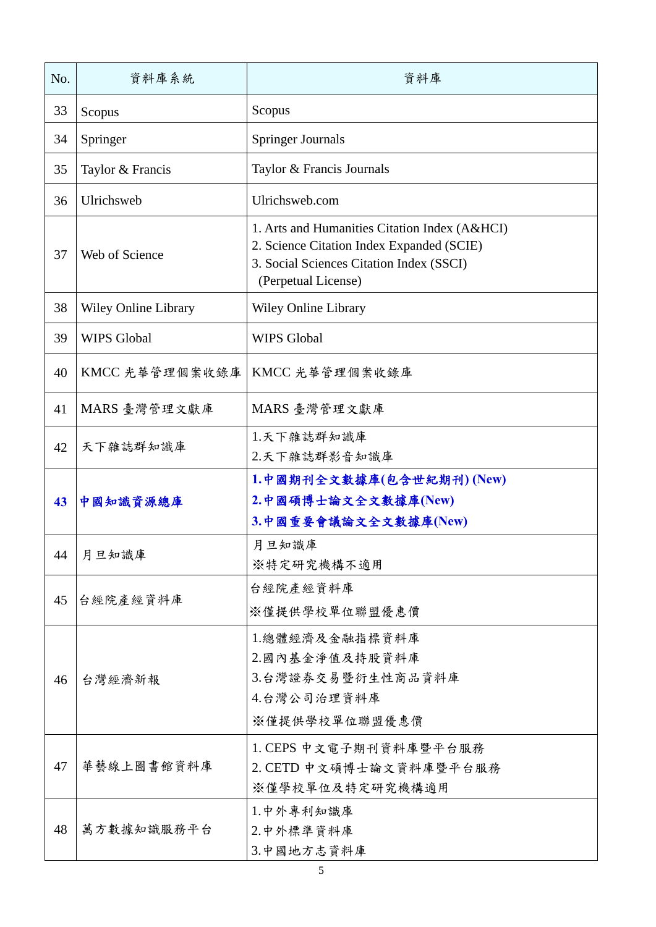| No. | 資料庫系統                | 資料庫                                                                                                                                                           |
|-----|----------------------|---------------------------------------------------------------------------------------------------------------------------------------------------------------|
| 33  | Scopus               | Scopus                                                                                                                                                        |
| 34  | Springer             | <b>Springer Journals</b>                                                                                                                                      |
| 35  | Taylor & Francis     | Taylor & Francis Journals                                                                                                                                     |
| 36  | Ulrichsweb           | Ulrichsweb.com                                                                                                                                                |
| 37  | Web of Science       | 1. Arts and Humanities Citation Index (A&HCI)<br>2. Science Citation Index Expanded (SCIE)<br>3. Social Sciences Citation Index (SSCI)<br>(Perpetual License) |
| 38  | Wiley Online Library | Wiley Online Library                                                                                                                                          |
| 39  | <b>WIPS Global</b>   | <b>WIPS Global</b>                                                                                                                                            |
| 40  | KMCC 光華管理個案收錄庫       | KMCC 光華管理個案收錄庫                                                                                                                                                |
| 41  | MARS 臺灣管理文獻庫         | MARS 臺灣管理文獻庫                                                                                                                                                  |
| 42  | 天下雜誌群知識庫             | 1.天下雜誌群知識庫<br>2.天下雜誌群影音知識庫                                                                                                                                    |
| 43  | 中國知識資源總庫             | 1.中國期刊全文數據庫(包含世紀期刊) (New)<br>2.中國碩博士論文全文數據庫(New)<br>3.中國重要會議論文全文數據庫(New)                                                                                      |
| 44  | 月旦知識庫                | 月旦知識庫<br>※特定研究機構不適用                                                                                                                                           |
| 45  | 台經院產經資料庫             | 台經院產經資料庫<br>※僅提供學校單位聯盟優惠價                                                                                                                                     |
| 46  | 台灣經濟新報               | 1.總體經濟及金融指標資料庫<br>2.國內基金淨值及持股資料庫<br>3.台灣證券交易暨衍生性商品資料庫<br>4.台灣公司治理資料庫<br>※僅提供學校單位聯盟優惠價                                                                         |
| 47  | 華藝線上圖書館資料庫           | 1. CEPS 中文電子期刊資料庫暨平台服務<br>2. CETD 中文碩博士論文資料庫暨平台服務<br>※僅學校單位及特定研究機構適用                                                                                          |
| 48  | 萬方數據知識服務平台           | 1.中外專利知識庫<br>2.中外標準資料庫<br>3.中國地方志資料庫                                                                                                                          |